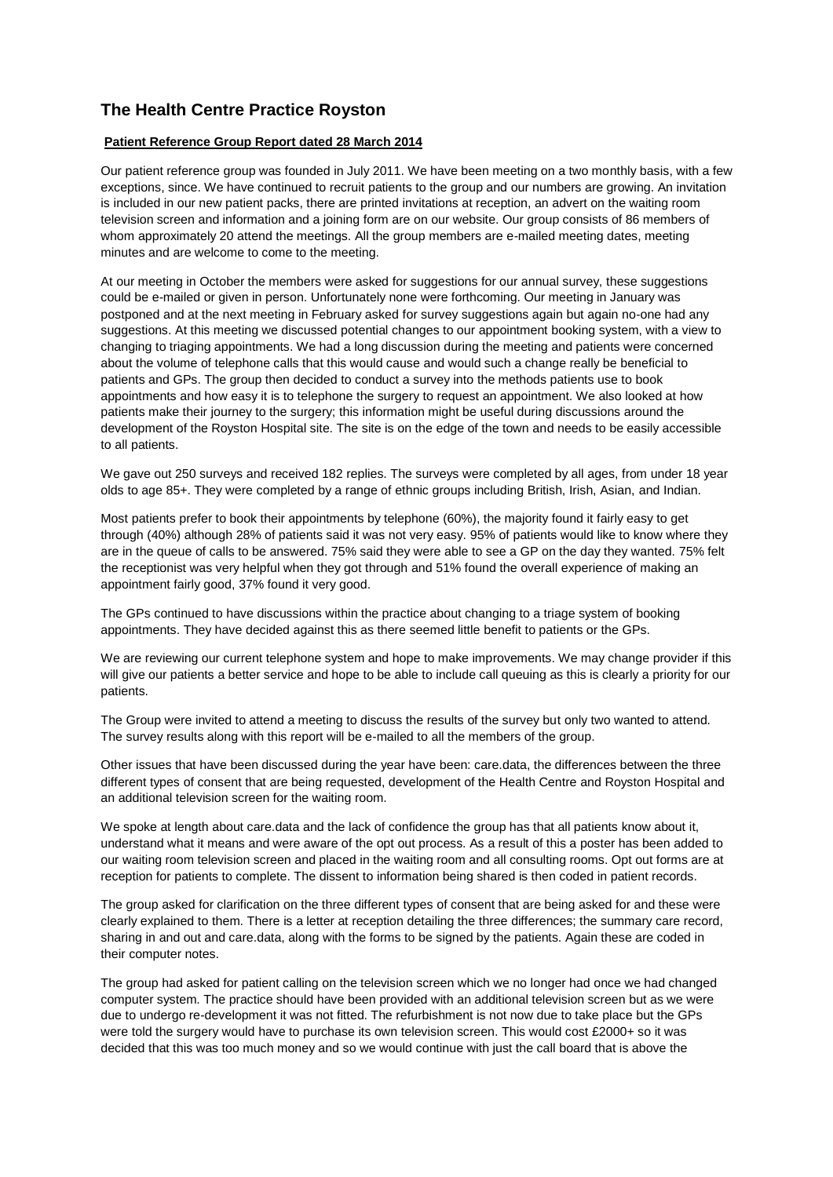## **The Health Centre Practice Royston**

## **Patient Reference Group Report dated 28 March 2014**

Our patient reference group was founded in July 2011. We have been meeting on a two monthly basis, with a few exceptions, since. We have continued to recruit patients to the group and our numbers are growing. An invitation is included in our new patient packs, there are printed invitations at reception, an advert on the waiting room television screen and information and a joining form are on our website. Our group consists of 86 members of whom approximately 20 attend the meetings. All the group members are e-mailed meeting dates, meeting minutes and are welcome to come to the meeting.

At our meeting in October the members were asked for suggestions for our annual survey, these suggestions could be e-mailed or given in person. Unfortunately none were forthcoming. Our meeting in January was postponed and at the next meeting in February asked for survey suggestions again but again no-one had any suggestions. At this meeting we discussed potential changes to our appointment booking system, with a view to changing to triaging appointments. We had a long discussion during the meeting and patients were concerned about the volume of telephone calls that this would cause and would such a change really be beneficial to patients and GPs. The group then decided to conduct a survey into the methods patients use to book appointments and how easy it is to telephone the surgery to request an appointment. We also looked at how patients make their journey to the surgery; this information might be useful during discussions around the development of the Royston Hospital site. The site is on the edge of the town and needs to be easily accessible to all patients.

We gave out 250 surveys and received 182 replies. The surveys were completed by all ages, from under 18 year olds to age 85+. They were completed by a range of ethnic groups including British, Irish, Asian, and Indian.

Most patients prefer to book their appointments by telephone (60%), the majority found it fairly easy to get through (40%) although 28% of patients said it was not very easy. 95% of patients would like to know where they are in the queue of calls to be answered. 75% said they were able to see a GP on the day they wanted. 75% felt the receptionist was very helpful when they got through and 51% found the overall experience of making an appointment fairly good, 37% found it very good.

The GPs continued to have discussions within the practice about changing to a triage system of booking appointments. They have decided against this as there seemed little benefit to patients or the GPs.

We are reviewing our current telephone system and hope to make improvements. We may change provider if this will give our patients a better service and hope to be able to include call queuing as this is clearly a priority for our patients.

The Group were invited to attend a meeting to discuss the results of the survey but only two wanted to attend. The survey results along with this report will be e-mailed to all the members of the group.

Other issues that have been discussed during the year have been: care.data, the differences between the three different types of consent that are being requested, development of the Health Centre and Royston Hospital and an additional television screen for the waiting room.

We spoke at length about care.data and the lack of confidence the group has that all patients know about it, understand what it means and were aware of the opt out process. As a result of this a poster has been added to our waiting room television screen and placed in the waiting room and all consulting rooms. Opt out forms are at reception for patients to complete. The dissent to information being shared is then coded in patient records.

The group asked for clarification on the three different types of consent that are being asked for and these were clearly explained to them. There is a letter at reception detailing the three differences; the summary care record, sharing in and out and care.data, along with the forms to be signed by the patients. Again these are coded in their computer notes.

The group had asked for patient calling on the television screen which we no longer had once we had changed computer system. The practice should have been provided with an additional television screen but as we were due to undergo re-development it was not fitted. The refurbishment is not now due to take place but the GPs were told the surgery would have to purchase its own television screen. This would cost £2000+ so it was decided that this was too much money and so we would continue with just the call board that is above the